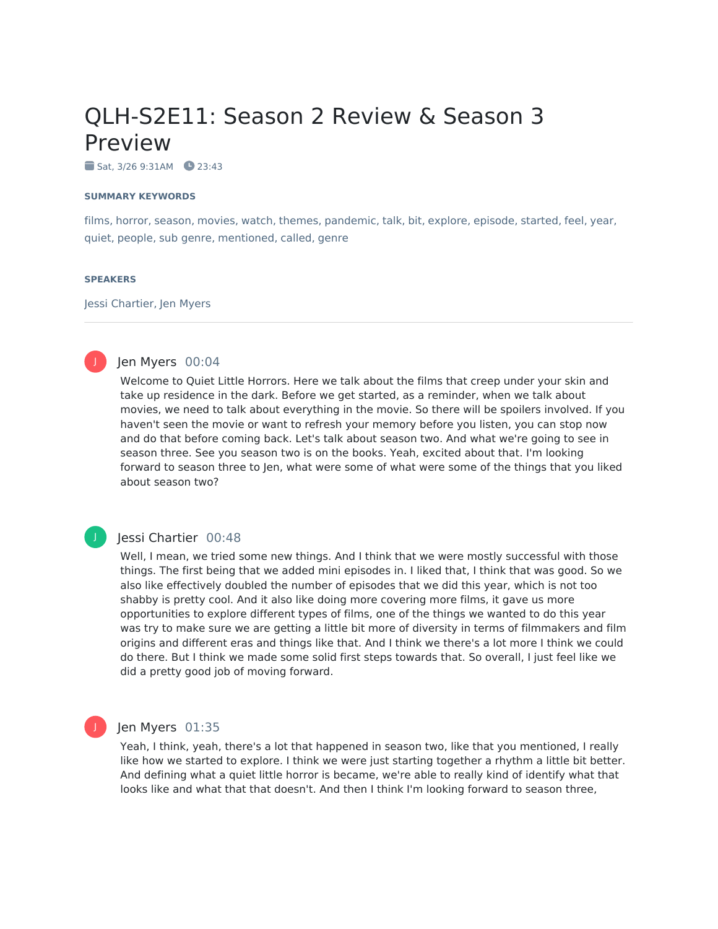# QLH-S2E11: Season 2 Review & Season 3 Preview

 $Sat. 3/269:31AM 23:43$ 

### **SUMMARY KEYWORDS**

films, horror, season, movies, watch, themes, pandemic, talk, bit, explore, episode, started, feel, year, quiet, people, sub genre, mentioned, called, genre

### **SPEAKERS**

Jessi Chartier, Jen Myers



J

## Jen Myers 00:04

Welcome to Quiet Little Horrors. Here we talk about the films that creep under your skin and take up residence in the dark. Before we get started, as a reminder, when we talk about movies, we need to talk about everything in the movie. So there will be spoilers involved. If you haven't seen the movie or want to refresh your memory before you listen, you can stop now and do that before coming back. Let's talk about season two. And what we're going to see in season three. See you season two is on the books. Yeah, excited about that. I'm looking forward to season three to Jen, what were some of what were some of the things that you liked about season two?

## Jessi Chartier 00:48

Well, I mean, we tried some new things. And I think that we were mostly successful with those things. The first being that we added mini episodes in. I liked that, I think that was good. So we also like effectively doubled the number of episodes that we did this year, which is not too shabby is pretty cool. And it also like doing more covering more films, it gave us more opportunities to explore different types of films, one of the things we wanted to do this year was try to make sure we are getting a little bit more of diversity in terms of filmmakers and film origins and different eras and things like that. And I think we there's a lot more I think we could do there. But I think we made some solid first steps towards that. So overall, I just feel like we did a pretty good job of moving forward.



## Jen Myers 01:35

Yeah, I think, yeah, there's a lot that happened in season two, like that you mentioned, I really like how we started to explore. I think we were just starting together a rhythm a little bit better. And defining what a quiet little horror is became, we're able to really kind of identify what that looks like and what that that doesn't. And then I think I'm looking forward to season three,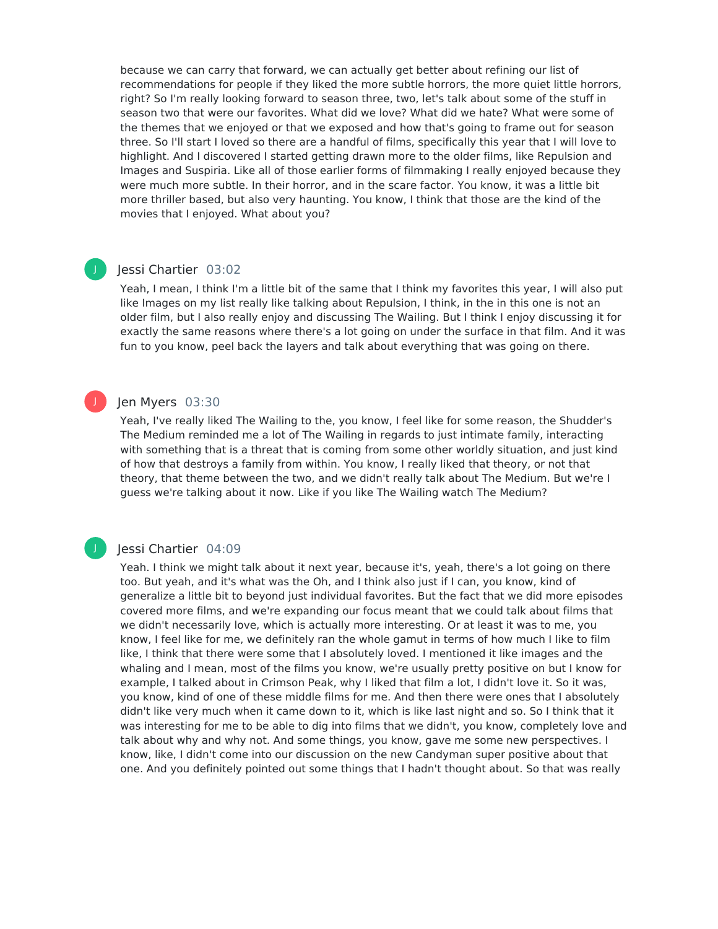because we can carry that forward, we can actually get better about refining our list of recommendations for people if they liked the more subtle horrors, the more quiet little horrors, right? So I'm really looking forward to season three, two, let's talk about some of the stuff in season two that were our favorites. What did we love? What did we hate? What were some of the themes that we enjoyed or that we exposed and how that's going to frame out for season three. So I'll start I loved so there are a handful of films, specifically this year that I will love to highlight. And I discovered I started getting drawn more to the older films, like Repulsion and Images and Suspiria. Like all of those earlier forms of filmmaking I really enjoyed because they were much more subtle. In their horror, and in the scare factor. You know, it was a little bit more thriller based, but also very haunting. You know, I think that those are the kind of the movies that I enjoyed. What about you?

## Jessi Chartier 03:02

J

J

Yeah, I mean, I think I'm a little bit of the same that I think my favorites this year, I will also put like Images on my list really like talking about Repulsion, I think, in the in this one is not an older film, but I also really enjoy and discussing The Wailing. But I think I enjoy discussing it for exactly the same reasons where there's a lot going on under the surface in that film. And it was fun to you know, peel back the layers and talk about everything that was going on there.

## Jen Myers 03:30

Yeah, I've really liked The Wailing to the, you know, I feel like for some reason, the Shudder's The Medium reminded me a lot of The Wailing in regards to just intimate family, interacting with something that is a threat that is coming from some other worldly situation, and just kind of how that destroys a family from within. You know, I really liked that theory, or not that theory, that theme between the two, and we didn't really talk about The Medium. But we're I guess we're talking about it now. Like if you like The Wailing watch The Medium?

## Jessi Chartier 04:09

Yeah. I think we might talk about it next year, because it's, yeah, there's a lot going on there too. But yeah, and it's what was the Oh, and I think also just if I can, you know, kind of generalize a little bit to beyond just individual favorites. But the fact that we did more episodes covered more films, and we're expanding our focus meant that we could talk about films that we didn't necessarily love, which is actually more interesting. Or at least it was to me, you know, I feel like for me, we definitely ran the whole gamut in terms of how much I like to film like, I think that there were some that I absolutely loved. I mentioned it like images and the whaling and I mean, most of the films you know, we're usually pretty positive on but I know for example, I talked about in Crimson Peak, why I liked that film a lot, I didn't love it. So it was, you know, kind of one of these middle films for me. And then there were ones that I absolutely didn't like very much when it came down to it, which is like last night and so. So I think that it was interesting for me to be able to dig into films that we didn't, you know, completely love and talk about why and why not. And some things, you know, gave me some new perspectives. I know, like, I didn't come into our discussion on the new Candyman super positive about that one. And you definitely pointed out some things that I hadn't thought about. So that was really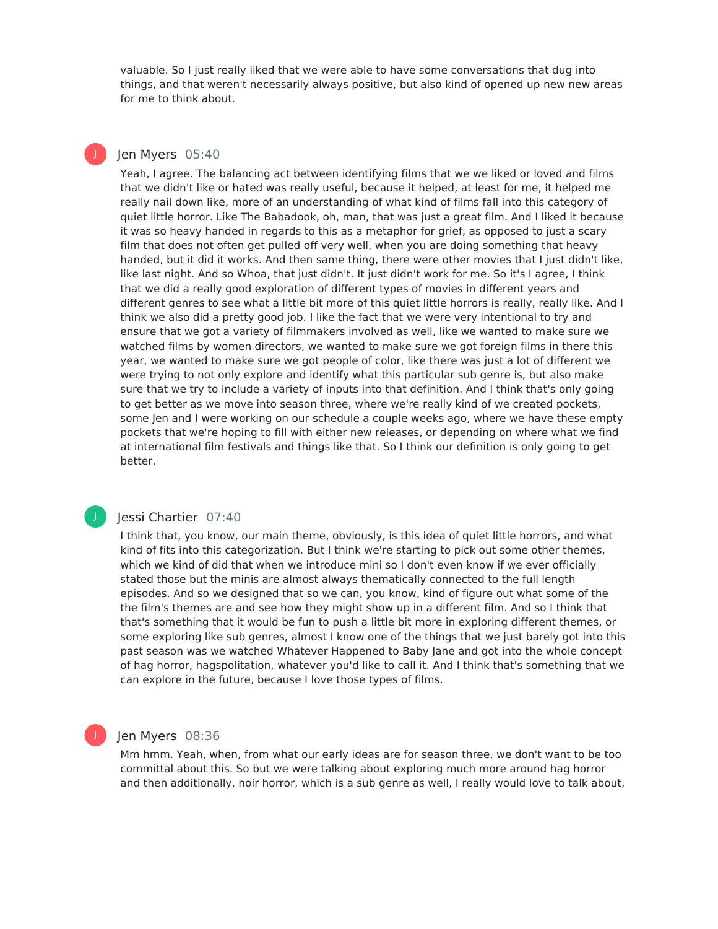valuable. So I just really liked that we were able to have some conversations that dug into things, and that weren't necessarily always positive, but also kind of opened up new new areas for me to think about.

## Jen Myers 05:40

J

Yeah, I agree. The balancing act between identifying films that we we liked or loved and films that we didn't like or hated was really useful, because it helped, at least for me, it helped me really nail down like, more of an understanding of what kind of films fall into this category of quiet little horror. Like The Babadook, oh, man, that was just a great film. And I liked it because it was so heavy handed in regards to this as a metaphor for grief, as opposed to just a scary film that does not often get pulled off very well, when you are doing something that heavy handed, but it did it works. And then same thing, there were other movies that I just didn't like, like last night. And so Whoa, that just didn't. It just didn't work for me. So it's I agree, I think that we did a really good exploration of different types of movies in different years and different genres to see what a little bit more of this quiet little horrors is really, really like. And I think we also did a pretty good job. I like the fact that we were very intentional to try and ensure that we got a variety of filmmakers involved as well, like we wanted to make sure we watched films by women directors, we wanted to make sure we got foreign films in there this year, we wanted to make sure we got people of color, like there was just a lot of different we were trying to not only explore and identify what this particular sub genre is, but also make sure that we try to include a variety of inputs into that definition. And I think that's only going to get better as we move into season three, where we're really kind of we created pockets, some Jen and I were working on our schedule a couple weeks ago, where we have these empty pockets that we're hoping to fill with either new releases, or depending on where what we find at international film festivals and things like that. So I think our definition is only going to get better.

## J

## Jessi Chartier 07:40

I think that, you know, our main theme, obviously, is this idea of quiet little horrors, and what kind of fits into this categorization. But I think we're starting to pick out some other themes, which we kind of did that when we introduce mini so I don't even know if we ever officially stated those but the minis are almost always thematically connected to the full length episodes. And so we designed that so we can, you know, kind of figure out what some of the the film's themes are and see how they might show up in a different film. And so I think that that's something that it would be fun to push a little bit more in exploring different themes, or some exploring like sub genres, almost I know one of the things that we just barely got into this past season was we watched Whatever Happened to Baby Jane and got into the whole concept of hag horror, hagspolitation, whatever you'd like to call it. And I think that's something that we can explore in the future, because I love those types of films.

## Jen Myers 08:36

Mm hmm. Yeah, when, from what our early ideas are for season three, we don't want to be too committal about this. So but we were talking about exploring much more around hag horror and then additionally, noir horror, which is a sub genre as well, I really would love to talk about,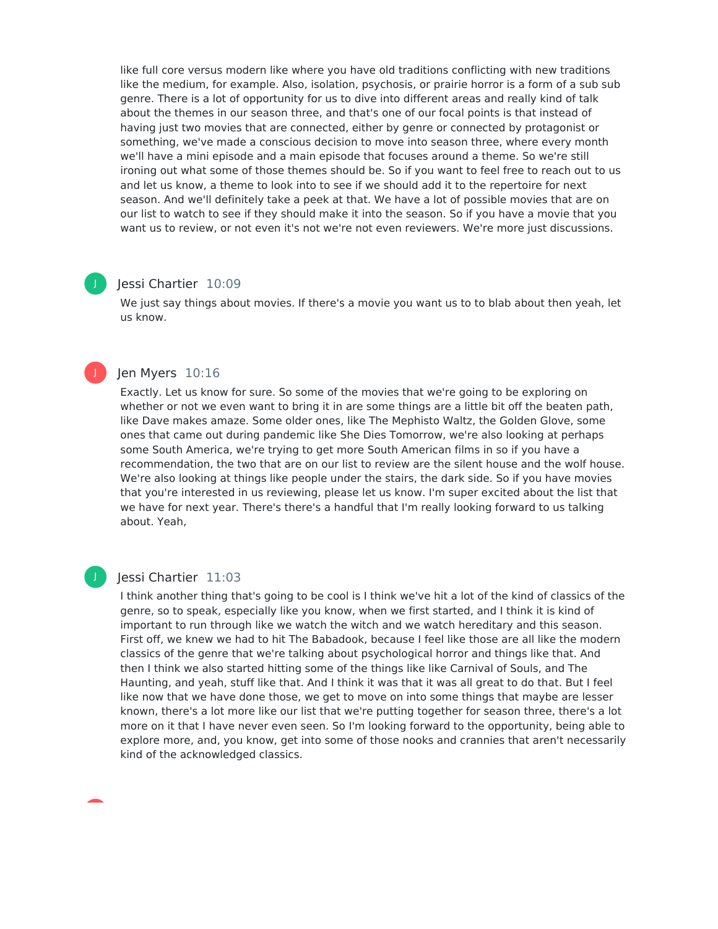like full core versus modern like where you have old traditions conflicting with new traditions like the medium, for example. Also, isolation, psychosis, or prairie horror is a form of a sub sub genre. There is a lot of opportunity for us to dive into different areas and really kind of talk about the themes in our season three, and that's one of our focal points is that instead of having just two movies that are connected, either by genre or connected by protagonist or something, we've made a conscious decision to move into season three, where every month we'll have a mini episode and a main episode that focuses around a theme. So we're still ironing out what some of those themes should be. So if you want to feel free to reach out to us and let us know, a theme to look into to see if we should add it to the repertoire for next season. And we'll definitely take a peek at that. We have a lot of possible movies that are on our list to watch to see if they should make it into the season. So if you have a movie that you want us to review, or not even it's not we're not even reviewers. We're more just discussions.

## Jessi Chartier 10:09

We just say things about movies. If there's a movie you want us to to blab about then yeah, let us know.

## Jen Myers 10:16

Exactly. Let us know for sure. So some of the movies that we're going to be exploring on whether or not we even want to bring it in are some things are a little bit off the beaten path, like Dave makes amaze. Some older ones, like The Mephisto Waltz, the Golden Glove, some ones that came out during pandemic like She Dies Tomorrow, we're also looking at perhaps some South America, we're trying to get more South American films in so if you have a recommendation, the two that are on our list to review are the silent house and the wolf house. We're also looking at things like people under the stairs, the dark side. So if you have movies that you're interested in us reviewing, please let us know. I'm super excited about the list that we have for next year. There's there's a handful that I'm really looking forward to us talking about. Yeah,

J

J

## Jessi Chartier 11:03

I think another thing that's going to be cool is I think we've hit a lot of the kind of classics of the genre, so to speak, especially like you know, when we first started, and I think it is kind of important to run through like we watch the witch and we watch hereditary and this season. First off, we knew we had to hit The Babadook, because I feel like those are all like the modern classics of the genre that we're talking about psychological horror and things like that. And then I think we also started hitting some of the things like like Carnival of Souls, and The Haunting, and yeah, stuff like that. And I think it was that it was all great to do that. But I feel like now that we have done those, we get to move on into some things that maybe are lesser known, there's a lot more like our list that we're putting together for season three, there's a lot more on it that I have never even seen. So I'm looking forward to the opportunity, being able to explore more, and, you know, get into some of those nooks and crannies that aren't necessarily kind of the acknowledged classics.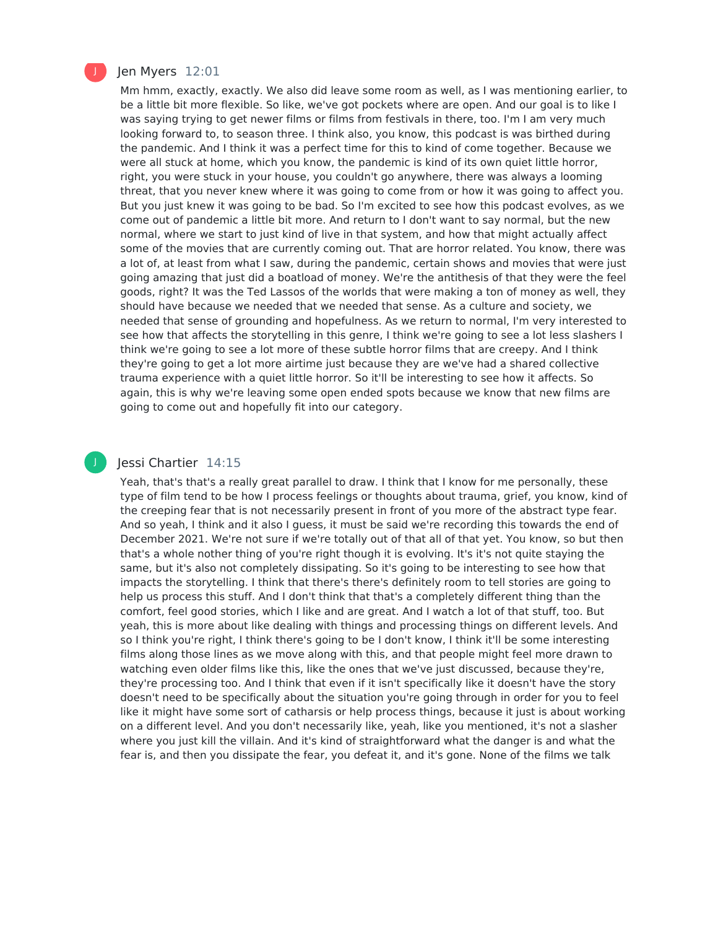

## Jen Myers 12:01

Mm hmm, exactly, exactly. We also did leave some room as well, as I was mentioning earlier, to be a little bit more flexible. So like, we've got pockets where are open. And our goal is to like I was saying trying to get newer films or films from festivals in there, too. I'm I am very much looking forward to, to season three. I think also, you know, this podcast is was birthed during the pandemic. And I think it was a perfect time for this to kind of come together. Because we were all stuck at home, which you know, the pandemic is kind of its own quiet little horror, right, you were stuck in your house, you couldn't go anywhere, there was always a looming threat, that you never knew where it was going to come from or how it was going to affect you. But you just knew it was going to be bad. So I'm excited to see how this podcast evolves, as we come out of pandemic a little bit more. And return to I don't want to say normal, but the new normal, where we start to just kind of live in that system, and how that might actually affect some of the movies that are currently coming out. That are horror related. You know, there was a lot of, at least from what I saw, during the pandemic, certain shows and movies that were just going amazing that just did a boatload of money. We're the antithesis of that they were the feel goods, right? It was the Ted Lassos of the worlds that were making a ton of money as well, they should have because we needed that we needed that sense. As a culture and society, we needed that sense of grounding and hopefulness. As we return to normal, I'm very interested to see how that affects the storytelling in this genre, I think we're going to see a lot less slashers I think we're going to see a lot more of these subtle horror films that are creepy. And I think they're going to get a lot more airtime just because they are we've had a shared collective trauma experience with a quiet little horror. So it'll be interesting to see how it affects. So again, this is why we're leaving some open ended spots because we know that new films are going to come out and hopefully fit into our category.

## Jessi Chartier 14:15

Yeah, that's that's a really great parallel to draw. I think that I know for me personally, these type of film tend to be how I process feelings or thoughts about trauma, grief, you know, kind of the creeping fear that is not necessarily present in front of you more of the abstract type fear. And so yeah, I think and it also I guess, it must be said we're recording this towards the end of December 2021. We're not sure if we're totally out of that all of that yet. You know, so but then that's a whole nother thing of you're right though it is evolving. It's it's not quite staying the same, but it's also not completely dissipating. So it's going to be interesting to see how that impacts the storytelling. I think that there's there's definitely room to tell stories are going to help us process this stuff. And I don't think that that's a completely different thing than the comfort, feel good stories, which I like and are great. And I watch a lot of that stuff, too. But yeah, this is more about like dealing with things and processing things on different levels. And so I think you're right, I think there's going to be I don't know, I think it'll be some interesting films along those lines as we move along with this, and that people might feel more drawn to watching even older films like this, like the ones that we've just discussed, because they're, they're processing too. And I think that even if it isn't specifically like it doesn't have the story doesn't need to be specifically about the situation you're going through in order for you to feel like it might have some sort of catharsis or help process things, because it just is about working on a different level. And you don't necessarily like, yeah, like you mentioned, it's not a slasher where you just kill the villain. And it's kind of straightforward what the danger is and what the fear is, and then you dissipate the fear, you defeat it, and it's gone. None of the films we talk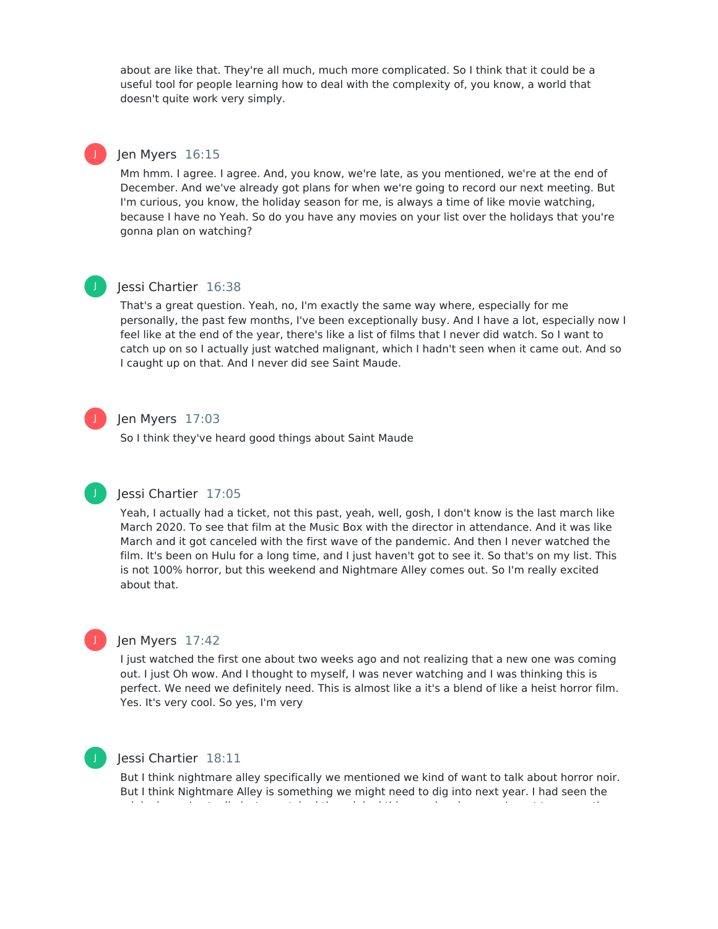about are like that. They're all much, much more complicated. So I think that it could be a useful tool for people learning how to deal with the complexity of, you know, a world that doesn't quite work very simply.

## J

## Jen Myers 16:15

Mm hmm. I agree. I agree. And, you know, we're late, as you mentioned, we're at the end of December. And we've already got plans for when we're going to record our next meeting. But I'm curious, you know, the holiday season for me, is always a time of like movie watching, because I have no Yeah. So do you have any movies on your list over the holidays that you're gonna plan on watching?



## Jessi Chartier 16:38

That's a great question. Yeah, no, I'm exactly the same way where, especially for me personally, the past few months, I've been exceptionally busy. And I have a lot, especially now I feel like at the end of the year, there's like a list of films that I never did watch. So I want to catch up on so I actually just watched malignant, which I hadn't seen when it came out. And so I caught up on that. And I never did see Saint Maude.



## Jen Myers 17:03

So I think they've heard good things about Saint Maude



J

## Jessi Chartier 17:05

Yeah, I actually had a ticket, not this past, yeah, well, gosh, I don't know is the last march like March 2020. To see that film at the Music Box with the director in attendance. And it was like March and it got canceled with the first wave of the pandemic. And then I never watched the film. It's been on Hulu for a long time, and I just haven't got to see it. So that's on my list. This is not 100% horror, but this weekend and Nightmare Alley comes out. So I'm really excited about that.



I just watched the first one about two weeks ago and not realizing that a new one was coming out. I just Oh wow. And I thought to myself, I was never watching and I was thinking this is perfect. We need we definitely need. This is almost like a it's a blend of like a heist horror film. Yes. It's very cool. So yes, I'm very

## Jessi Chartier 18:11

But I think nightmare alley specifically we mentioned we kind of want to talk about horror noir. But I think Nightmare Alley is something we might need to dig into next year. I had seen the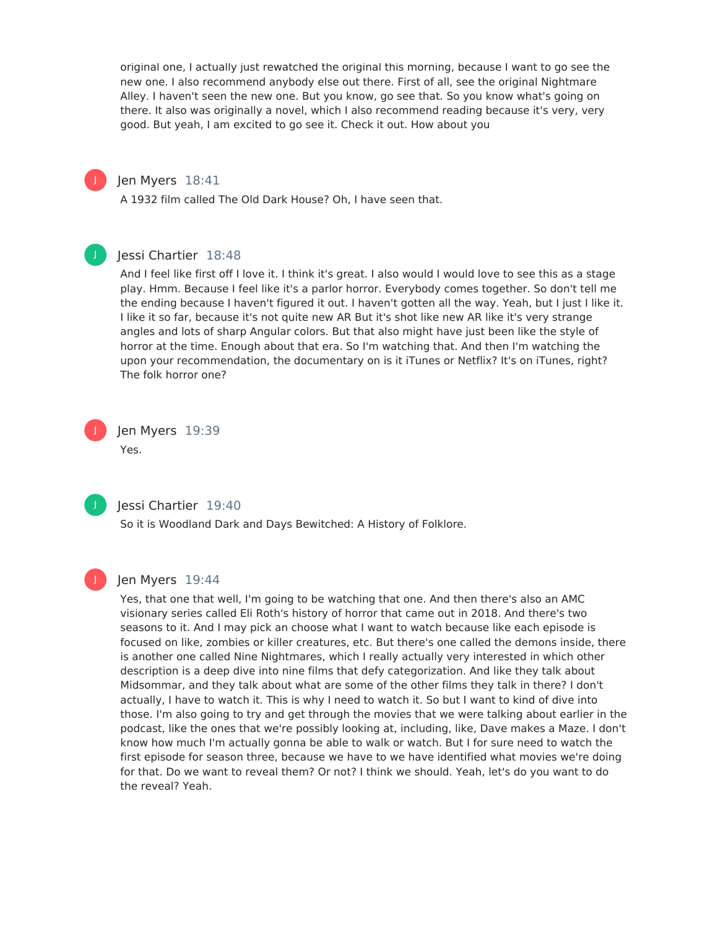original one, I actually just rewatched the original this morning, because I want to go see the new one. I also recommend anybody else out there. First of all, see the original Nightmare Alley. I haven't seen the new one. But you know, go see that. So you know what's going on there. It also was originally a novel, which I also recommend reading because it's very, very good. But yeah, I am excited to go see it. Check it out. How about you

## Jen Myers 18:41

A 1932 film called The Old Dark House? Oh, I have seen that.

## J

J

## Jessi Chartier 18:48

And I feel like first off I love it. I think it's great. I also would I would love to see this as a stage play. Hmm. Because I feel like it's a parlor horror. Everybody comes together. So don't tell me the ending because I haven't figured it out. I haven't gotten all the way. Yeah, but I just I like it. I like it so far, because it's not quite new AR But it's shot like new AR like it's very strange angles and lots of sharp Angular colors. But that also might have just been like the style of horror at the time. Enough about that era. So I'm watching that. And then I'm watching the upon your recommendation, the documentary on is it iTunes or Netflix? It's on iTunes, right? The folk horror one?

## Jen Myers 19:39 Yes.



J

## Jessi Chartier 19:40

So it is Woodland Dark and Days Bewitched: A History of Folklore.



## Jen Myers 19:44

Yes, that one that well, I'm going to be watching that one. And then there's also an AMC visionary series called Eli Roth's history of horror that came out in 2018. And there's two seasons to it. And I may pick an choose what I want to watch because like each episode is focused on like, zombies or killer creatures, etc. But there's one called the demons inside, there is another one called Nine Nightmares, which I really actually very interested in which other description is a deep dive into nine films that defy categorization. And like they talk about Midsommar, and they talk about what are some of the other films they talk in there? I don't actually, I have to watch it. This is why I need to watch it. So but I want to kind of dive into those. I'm also going to try and get through the movies that we were talking about earlier in the podcast, like the ones that we're possibly looking at, including, like, Dave makes a Maze. I don't know how much I'm actually gonna be able to walk or watch. But I for sure need to watch the first episode for season three, because we have to we have identified what movies we're doing for that. Do we want to reveal them? Or not? I think we should. Yeah, let's do you want to do the reveal? Yeah.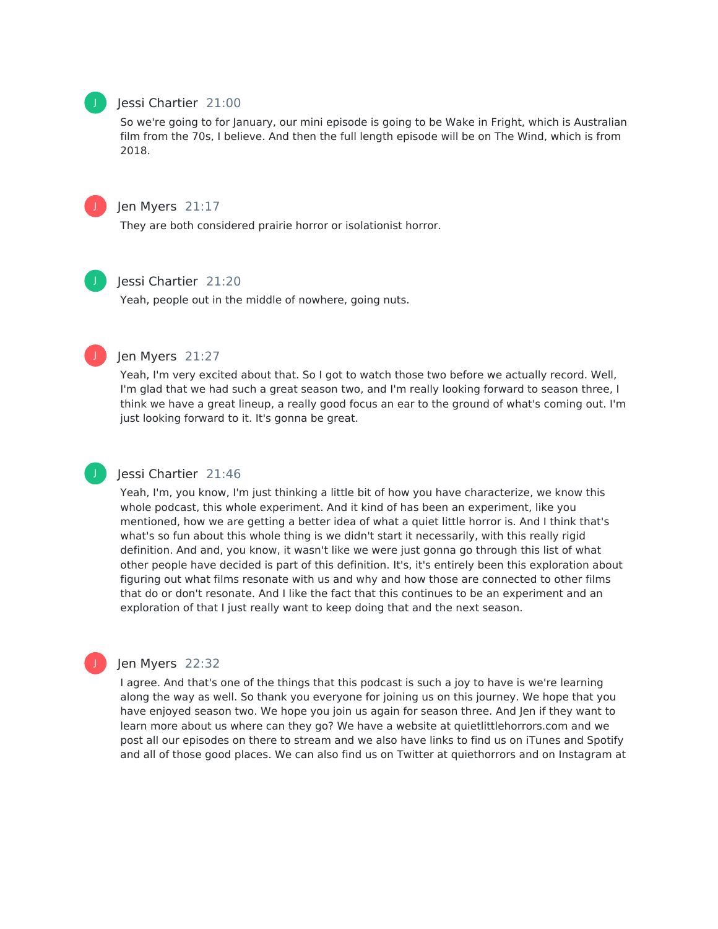## Jessi Chartier 21:00

So we're going to for January, our mini episode is going to be Wake in Fright, which is Australian film from the 70s, I believe. And then the full length episode will be on The Wind, which is from 2018.



J

## Jen Myers 21:17

They are both considered prairie horror or isolationist horror.



J

## Jessi Chartier 21:20

Yeah, people out in the middle of nowhere, going nuts.

## Jen Myers 21:27

Yeah, I'm very excited about that. So I got to watch those two before we actually record. Well, I'm glad that we had such a great season two, and I'm really looking forward to season three, I think we have a great lineup, a really good focus an ear to the ground of what's coming out. I'm just looking forward to it. It's gonna be great.



## Jessi Chartier 21:46

Yeah, I'm, you know, I'm just thinking a little bit of how you have characterize, we know this whole podcast, this whole experiment. And it kind of has been an experiment, like you mentioned, how we are getting a better idea of what a quiet little horror is. And I think that's what's so fun about this whole thing is we didn't start it necessarily, with this really rigid definition. And and, you know, it wasn't like we were just gonna go through this list of what other people have decided is part of this definition. It's, it's entirely been this exploration about figuring out what films resonate with us and why and how those are connected to other films that do or don't resonate. And I like the fact that this continues to be an experiment and an exploration of that I just really want to keep doing that and the next season.



## Jen Myers 22:32

I agree. And that's one of the things that this podcast is such a joy to have is we're learning along the way as well. So thank you everyone for joining us on this journey. We hope that you have enjoyed season two. We hope you join us again for season three. And Jen if they want to learn more about us where can they go? We have a website at quietlittlehorrors.com and we post all our episodes on there to stream and we also have links to find us on iTunes and Spotify and all of those good places. We can also find us on Twitter at quiethorrors and on Instagram at